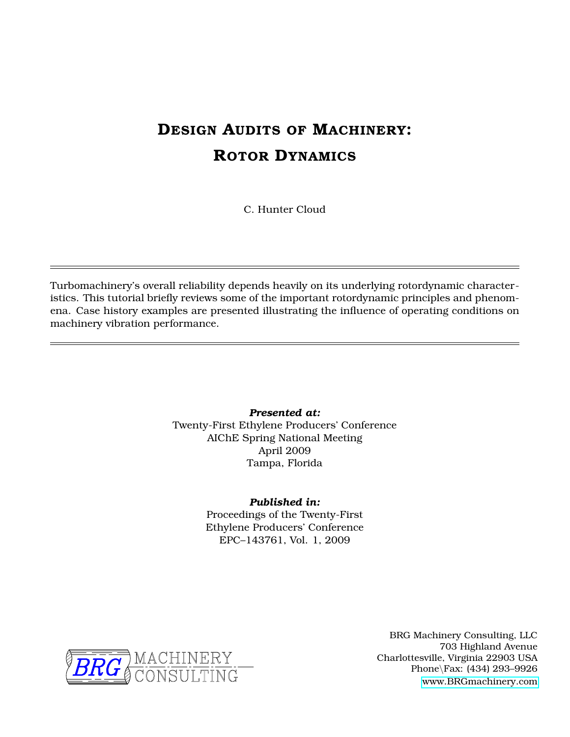# **DESIGN AUDITS OF MACHINERY: ROTOR DYNAMICS**

C. Hunter Cloud

Turbomachinery's overall reliability depends heavily on its underlying rotordynamic characteristics. This tutorial briefly reviews some of the important rotordynamic principles and phenomena. Case history examples are presented illustrating the influence of operating conditions on machinery vibration performance.

> *Presented at:* Twenty-First Ethylene Producers' Conference AIChE Spring National Meeting April 2009 Tampa, Florida

#### *Published in:*

Proceedings of the Twenty-First Ethylene Producers' Conference EPC–143761, Vol. 1, 2009



BRG Machinery Consulting, LLC 703 Highland Avenue Charlottesville, Virginia 22903 USA Phone\Fax: (434) 293–9926 [www.BRGmachinery.com](http://www.BRGmachinery.com)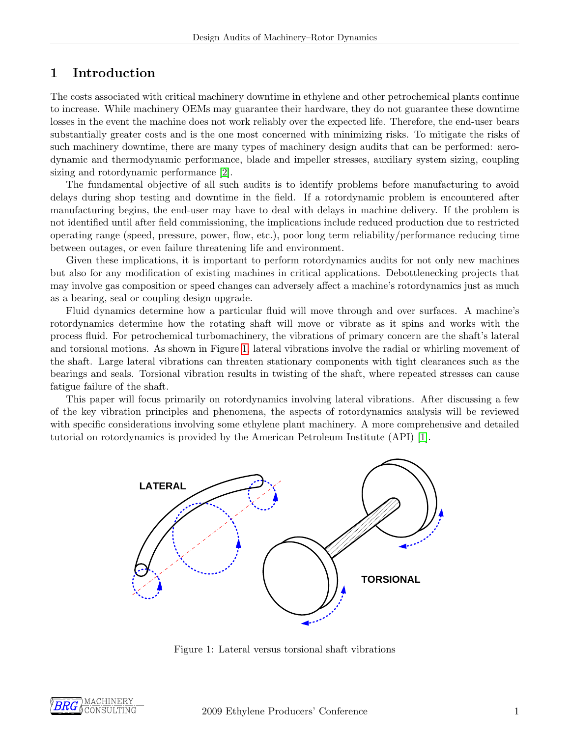### 1 Introduction

The costs associated with critical machinery downtime in ethylene and other petrochemical plants continue to increase. While machinery OEMs may guarantee their hardware, they do not guarantee these downtime losses in the event the machine does not work reliably over the expected life. Therefore, the end-user bears substantially greater costs and is the one most concerned with minimizing risks. To mitigate the risks of such machinery downtime, there are many types of machinery design audits that can be performed: aerodynamic and thermodynamic performance, blade and impeller stresses, auxiliary system sizing, coupling sizing and rotordynamic performance [\[2\]](#page-14-0).

The fundamental objective of all such audits is to identify problems before manufacturing to avoid delays during shop testing and downtime in the field. If a rotordynamic problem is encountered after manufacturing begins, the end-user may have to deal with delays in machine delivery. If the problem is not identified until after field commissioning, the implications include reduced production due to restricted operating range (speed, pressure, power, flow, etc.), poor long term reliability/performance reducing time between outages, or even failure threatening life and environment.

Given these implications, it is important to perform rotordynamics audits for not only new machines but also for any modification of existing machines in critical applications. Debottlenecking projects that may involve gas composition or speed changes can adversely affect a machine's rotordynamics just as much as a bearing, seal or coupling design upgrade.

Fluid dynamics determine how a particular fluid will move through and over surfaces. A machine's rotordynamics determine how the rotating shaft will move or vibrate as it spins and works with the process fluid. For petrochemical turbomachinery, the vibrations of primary concern are the shaft's lateral and torsional motions. As shown in Figure [1,](#page-1-0) lateral vibrations involve the radial or whirling movement of the shaft. Large lateral vibrations can threaten stationary components with tight clearances such as the bearings and seals. Torsional vibration results in twisting of the shaft, where repeated stresses can cause fatigue failure of the shaft.

<span id="page-1-0"></span>This paper will focus primarily on rotordynamics involving lateral vibrations. After discussing a few of the key vibration principles and phenomena, the aspects of rotordynamics analysis will be reviewed with specific considerations involving some ethylene plant machinery. A more comprehensive and detailed tutorial on rotordynamics is provided by the American Petroleum Institute (API) [\[1\]](#page-14-1).



Figure 1: Lateral versus torsional shaft vibrations

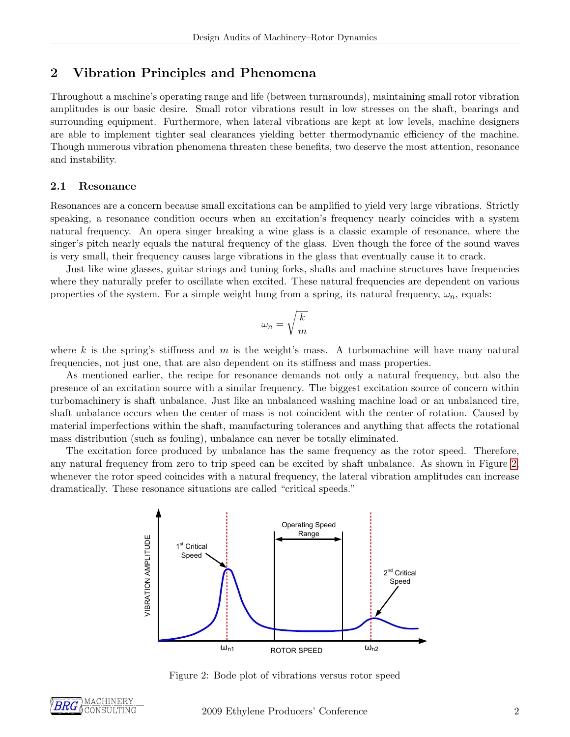### 2 Vibration Principles and Phenomena

Throughout a machine's operating range and life (between turnarounds), maintaining small rotor vibration amplitudes is our basic desire. Small rotor vibrations result in low stresses on the shaft, bearings and surrounding equipment. Furthermore, when lateral vibrations are kept at low levels, machine designers are able to implement tighter seal clearances yielding better thermodynamic efficiency of the machine. Though numerous vibration phenomena threaten these benefits, two deserve the most attention, resonance and instability.

#### 2.1 Resonance

Resonances are a concern because small excitations can be amplified to yield very large vibrations. Strictly speaking, a resonance condition occurs when an excitation's frequency nearly coincides with a system natural frequency. An opera singer breaking a wine glass is a classic example of resonance, where the singer's pitch nearly equals the natural frequency of the glass. Even though the force of the sound waves is very small, their frequency causes large vibrations in the glass that eventually cause it to crack.

Just like wine glasses, guitar strings and tuning forks, shafts and machine structures have frequencies where they naturally prefer to oscillate when excited. These natural frequencies are dependent on various properties of the system. For a simple weight hung from a spring, its natural frequency,  $\omega_n$ , equals:

$$
\omega_n=\sqrt{\frac{k}{m}}
$$

where k is the spring's stiffness and m is the weight's mass. A turbomachine will have many natural frequencies, not just one, that are also dependent on its stiffness and mass properties.

As mentioned earlier, the recipe for resonance demands not only a natural frequency, but also the presence of an excitation source with a similar frequency. The biggest excitation source of concern within turbomachinery is shaft unbalance. Just like an unbalanced washing machine load or an unbalanced tire, shaft unbalance occurs when the center of mass is not coincident with the center of rotation. Caused by material imperfections within the shaft, manufacturing tolerances and anything that affects the rotational mass distribution (such as fouling), unbalance can never be totally eliminated.

<span id="page-2-0"></span>The excitation force produced by unbalance has the same frequency as the rotor speed. Therefore, any natural frequency from zero to trip speed can be excited by shaft unbalance. As shown in Figure [2,](#page-2-0) whenever the rotor speed coincides with a natural frequency, the lateral vibration amplitudes can increase dramatically. These resonance situations are called "critical speeds."



Figure 2: Bode plot of vibrations versus rotor speed

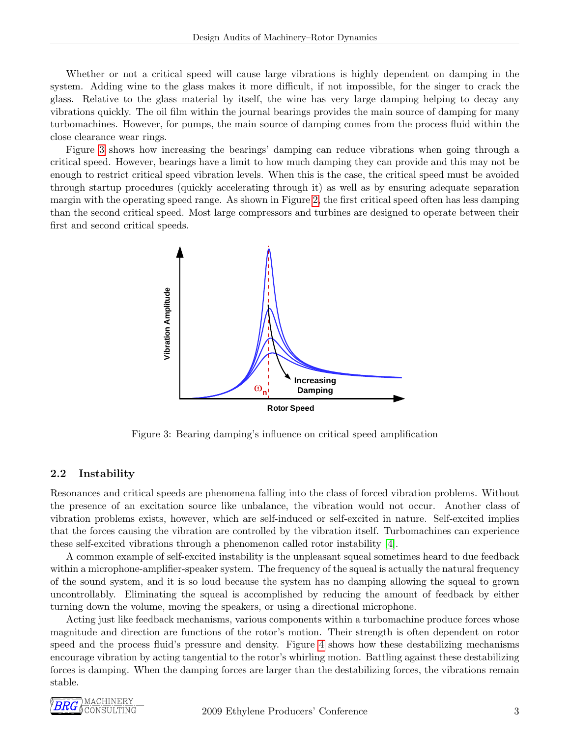Whether or not a critical speed will cause large vibrations is highly dependent on damping in the system. Adding wine to the glass makes it more difficult, if not impossible, for the singer to crack the glass. Relative to the glass material by itself, the wine has very large damping helping to decay any vibrations quickly. The oil film within the journal bearings provides the main source of damping for many turbomachines. However, for pumps, the main source of damping comes from the process fluid within the close clearance wear rings.

<span id="page-3-0"></span>Figure [3](#page-3-0) shows how increasing the bearings' damping can reduce vibrations when going through a critical speed. However, bearings have a limit to how much damping they can provide and this may not be enough to restrict critical speed vibration levels. When this is the case, the critical speed must be avoided through startup procedures (quickly accelerating through it) as well as by ensuring adequate separation margin with the operating speed range. As shown in Figure [2,](#page-2-0) the first critical speed often has less damping than the second critical speed. Most large compressors and turbines are designed to operate between their first and second critical speeds.



Figure 3: Bearing damping's influence on critical speed amplification

#### 2.2 Instability

Resonances and critical speeds are phenomena falling into the class of forced vibration problems. Without the presence of an excitation source like unbalance, the vibration would not occur. Another class of vibration problems exists, however, which are self-induced or self-excited in nature. Self-excited implies that the forces causing the vibration are controlled by the vibration itself. Turbomachines can experience these self-excited vibrations through a phenomenon called rotor instability [\[4\]](#page-14-2).

A common example of self-excited instability is the unpleasant squeal sometimes heard to due feedback within a microphone-amplifier-speaker system. The frequency of the squeal is actually the natural frequency of the sound system, and it is so loud because the system has no damping allowing the squeal to grown uncontrollably. Eliminating the squeal is accomplished by reducing the amount of feedback by either turning down the volume, moving the speakers, or using a directional microphone.

Acting just like feedback mechanisms, various components within a turbomachine produce forces whose magnitude and direction are functions of the rotor's motion. Their strength is often dependent on rotor speed and the process fluid's pressure and density. Figure [4](#page-4-0) shows how these destabilizing mechanisms encourage vibration by acting tangential to the rotor's whirling motion. Battling against these destabilizing forces is damping. When the damping forces are larger than the destabilizing forces, the vibrations remain stable.

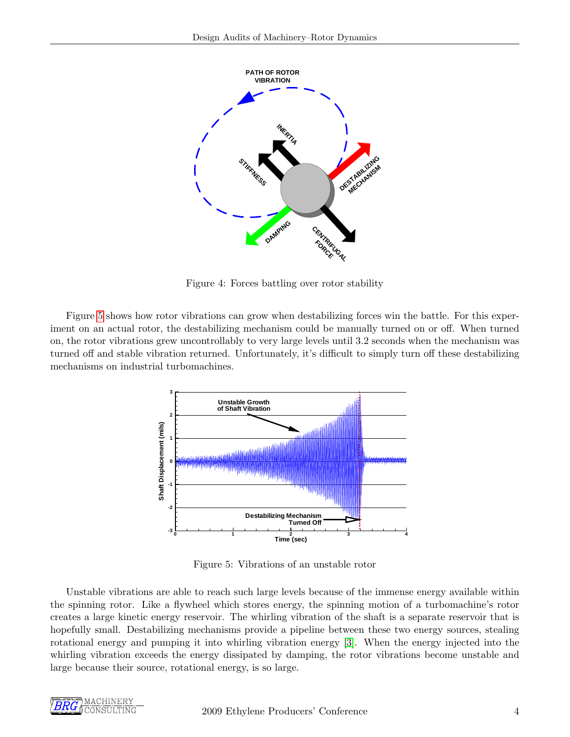<span id="page-4-0"></span>

Figure 4: Forces battling over rotor stability

<span id="page-4-1"></span>Figure [5](#page-4-1) shows how rotor vibrations can grow when destabilizing forces win the battle. For this experiment on an actual rotor, the destabilizing mechanism could be manually turned on or off. When turned on, the rotor vibrations grew uncontrollably to very large levels until 3.2 seconds when the mechanism was turned off and stable vibration returned. Unfortunately, it's difficult to simply turn off these destabilizing mechanisms on industrial turbomachines.



Figure 5: Vibrations of an unstable rotor

Unstable vibrations are able to reach such large levels because of the immense energy available within the spinning rotor. Like a flywheel which stores energy, the spinning motion of a turbomachine's rotor creates a large kinetic energy reservoir. The whirling vibration of the shaft is a separate reservoir that is hopefully small. Destabilizing mechanisms provide a pipeline between these two energy sources, stealing rotational energy and pumping it into whirling vibration energy [\[3\]](#page-14-3). When the energy injected into the whirling vibration exceeds the energy dissipated by damping, the rotor vibrations become unstable and large because their source, rotational energy, is so large.

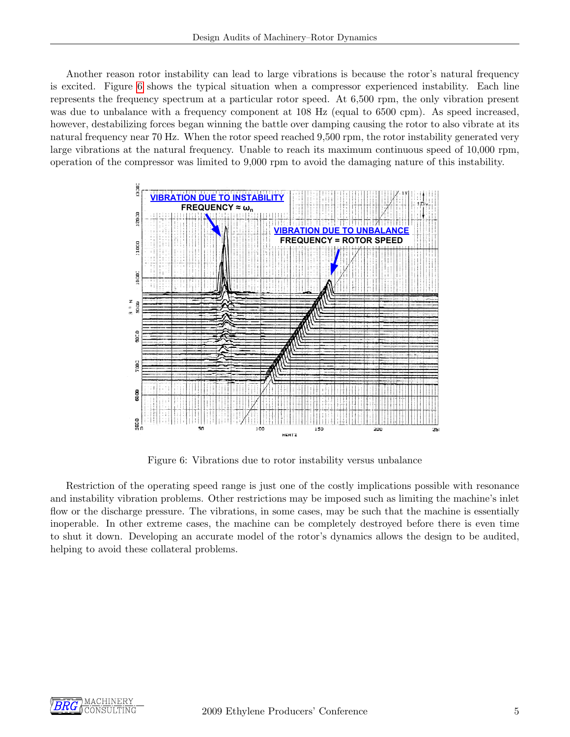Another reason rotor instability can lead to large vibrations is because the rotor's natural frequency is excited. Figure [6](#page-5-0) shows the typical situation when a compressor experienced instability. Each line represents the frequency spectrum at a particular rotor speed. At 6,500 rpm, the only vibration present was due to unbalance with a frequency component at 108 Hz (equal to 6500 cpm). As speed increased, however, destabilizing forces began winning the battle over damping causing the rotor to also vibrate at its natural frequency near 70 Hz. When the rotor speed reached 9,500 rpm, the rotor instability generated very large vibrations at the natural frequency. Unable to reach its maximum continuous speed of 10,000 rpm, operation of the compressor was limited to 9,000 rpm to avoid the damaging nature of this instability.

<span id="page-5-0"></span>

Figure 6: Vibrations due to rotor instability versus unbalance

Restriction of the operating speed range is just one of the costly implications possible with resonance and instability vibration problems. Other restrictions may be imposed such as limiting the machine's inlet flow or the discharge pressure. The vibrations, in some cases, may be such that the machine is essentially inoperable. In other extreme cases, the machine can be completely destroyed before there is even time to shut it down. Developing an accurate model of the rotor's dynamics allows the design to be audited, helping to avoid these collateral problems.

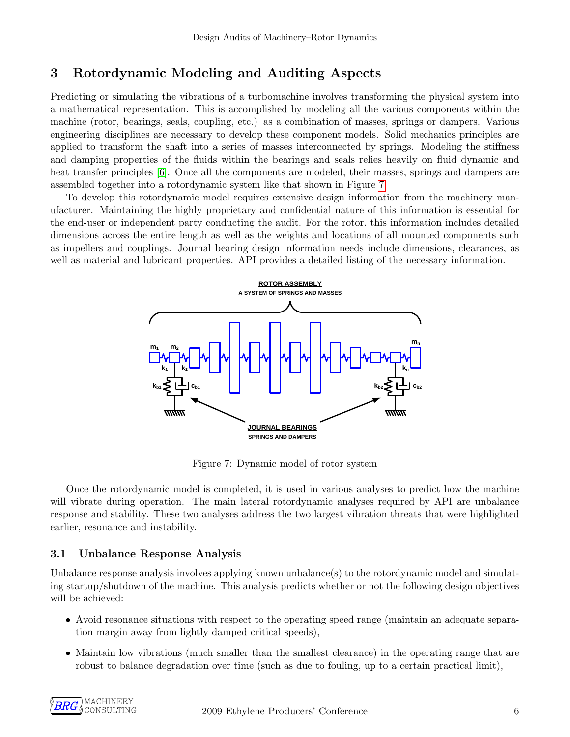# 3 Rotordynamic Modeling and Auditing Aspects

Predicting or simulating the vibrations of a turbomachine involves transforming the physical system into a mathematical representation. This is accomplished by modeling all the various components within the machine (rotor, bearings, seals, coupling, etc.) as a combination of masses, springs or dampers. Various engineering disciplines are necessary to develop these component models. Solid mechanics principles are applied to transform the shaft into a series of masses interconnected by springs. Modeling the stiffness and damping properties of the fluids within the bearings and seals relies heavily on fluid dynamic and heat transfer principles [\[6\]](#page-14-4). Once all the components are modeled, their masses, springs and dampers are assembled together into a rotordynamic system like that shown in Figure [7.](#page-6-0)

<span id="page-6-0"></span>To develop this rotordynamic model requires extensive design information from the machinery manufacturer. Maintaining the highly proprietary and confidential nature of this information is essential for the end-user or independent party conducting the audit. For the rotor, this information includes detailed dimensions across the entire length as well as the weights and locations of all mounted components such as impellers and couplings. Journal bearing design information needs include dimensions, clearances, as well as material and lubricant properties. API provides a detailed listing of the necessary information.



Figure 7: Dynamic model of rotor system

Once the rotordynamic model is completed, it is used in various analyses to predict how the machine will vibrate during operation. The main lateral rotordynamic analyses required by API are unbalance response and stability. These two analyses address the two largest vibration threats that were highlighted earlier, resonance and instability.

### 3.1 Unbalance Response Analysis

Unbalance response analysis involves applying known unbalance(s) to the rotordynamic model and simulating startup/shutdown of the machine. This analysis predicts whether or not the following design objectives will be achieved:

- Avoid resonance situations with respect to the operating speed range (maintain an adequate separation margin away from lightly damped critical speeds),
- Maintain low vibrations (much smaller than the smallest clearance) in the operating range that are robust to balance degradation over time (such as due to fouling, up to a certain practical limit),

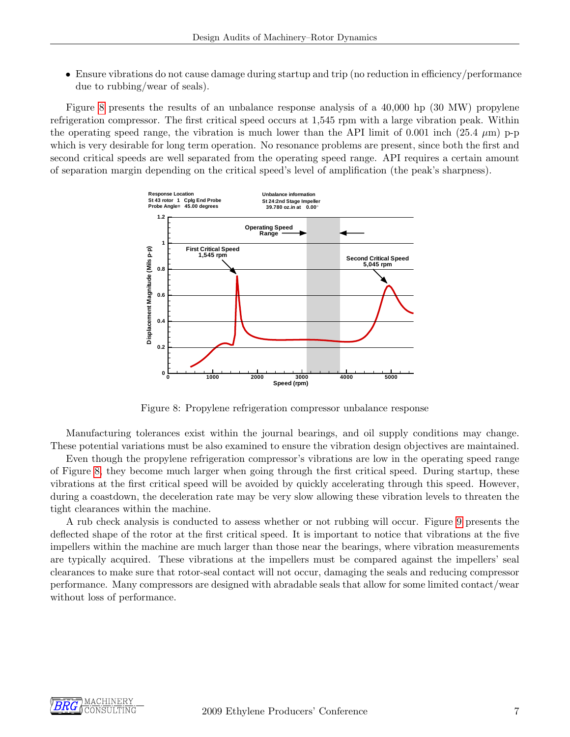• Ensure vibrations do not cause damage during startup and trip (no reduction in efficiency/performance due to rubbing/wear of seals).

<span id="page-7-0"></span>Figure [8](#page-7-0) presents the results of an unbalance response analysis of a 40,000 hp (30 MW) propylene refrigeration compressor. The first critical speed occurs at 1,545 rpm with a large vibration peak. Within the operating speed range, the vibration is much lower than the API limit of 0.001 inch (25.4  $\mu$ m) p-p which is very desirable for long term operation. No resonance problems are present, since both the first and second critical speeds are well separated from the operating speed range. API requires a certain amount of separation margin depending on the critical speed's level of amplification (the peak's sharpness).



Figure 8: Propylene refrigeration compressor unbalance response

Manufacturing tolerances exist within the journal bearings, and oil supply conditions may change. These potential variations must be also examined to ensure the vibration design objectives are maintained.

Even though the propylene refrigeration compressor's vibrations are low in the operating speed range of Figure [8,](#page-7-0) they become much larger when going through the first critical speed. During startup, these vibrations at the first critical speed will be avoided by quickly accelerating through this speed. However, during a coastdown, the deceleration rate may be very slow allowing these vibration levels to threaten the tight clearances within the machine.

A rub check analysis is conducted to assess whether or not rubbing will occur. Figure [9](#page-8-0) presents the deflected shape of the rotor at the first critical speed. It is important to notice that vibrations at the five impellers within the machine are much larger than those near the bearings, where vibration measurements are typically acquired. These vibrations at the impellers must be compared against the impellers' seal clearances to make sure that rotor-seal contact will not occur, damaging the seals and reducing compressor performance. Many compressors are designed with abradable seals that allow for some limited contact/wear without loss of performance.

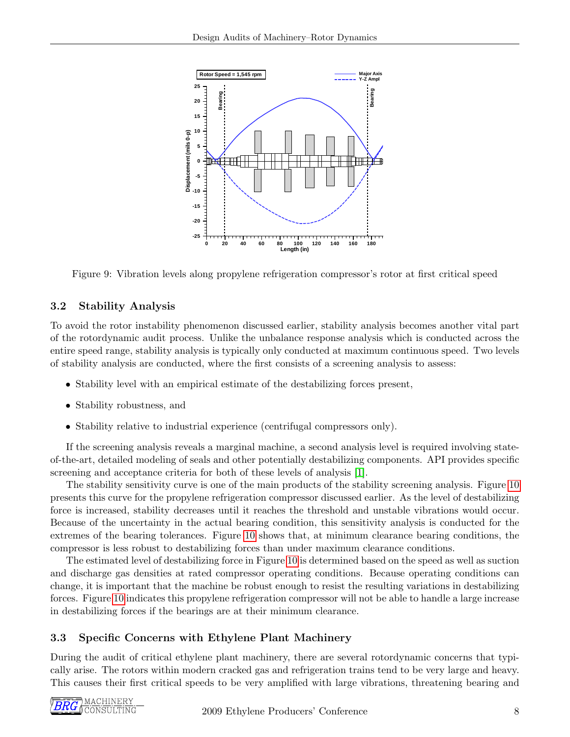<span id="page-8-0"></span>

Figure 9: Vibration levels along propylene refrigeration compressor's rotor at first critical speed

### 3.2 Stability Analysis

To avoid the rotor instability phenomenon discussed earlier, stability analysis becomes another vital part of the rotordynamic audit process. Unlike the unbalance response analysis which is conducted across the entire speed range, stability analysis is typically only conducted at maximum continuous speed. Two levels of stability analysis are conducted, where the first consists of a screening analysis to assess:

- Stability level with an empirical estimate of the destabilizing forces present,
- Stability robustness, and
- Stability relative to industrial experience (centrifugal compressors only).

If the screening analysis reveals a marginal machine, a second analysis level is required involving stateof-the-art, detailed modeling of seals and other potentially destabilizing components. API provides specific screening and acceptance criteria for both of these levels of analysis [\[1\]](#page-14-1).

The stability sensitivity curve is one of the main products of the stability screening analysis. Figure [10](#page-9-0) presents this curve for the propylene refrigeration compressor discussed earlier. As the level of destabilizing force is increased, stability decreases until it reaches the threshold and unstable vibrations would occur. Because of the uncertainty in the actual bearing condition, this sensitivity analysis is conducted for the extremes of the bearing tolerances. Figure [10](#page-9-0) shows that, at minimum clearance bearing conditions, the compressor is less robust to destabilizing forces than under maximum clearance conditions.

The estimated level of destabilizing force in Figure [10](#page-9-0) is determined based on the speed as well as suction and discharge gas densities at rated compressor operating conditions. Because operating conditions can change, it is important that the machine be robust enough to resist the resulting variations in destabilizing forces. Figure [10](#page-9-0) indicates this propylene refrigeration compressor will not be able to handle a large increase in destabilizing forces if the bearings are at their minimum clearance.

# 3.3 Specific Concerns with Ethylene Plant Machinery

During the audit of critical ethylene plant machinery, there are several rotordynamic concerns that typically arise. The rotors within modern cracked gas and refrigeration trains tend to be very large and heavy. This causes their first critical speeds to be very amplified with large vibrations, threatening bearing and

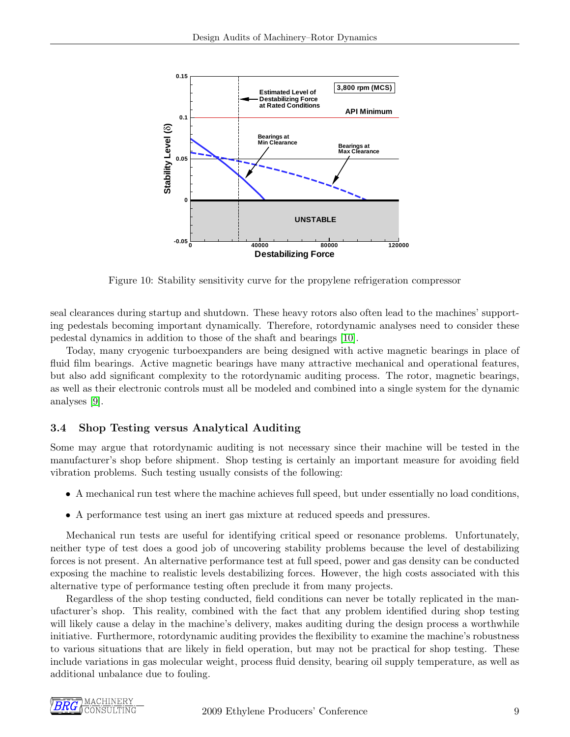<span id="page-9-0"></span>

Figure 10: Stability sensitivity curve for the propylene refrigeration compressor

seal clearances during startup and shutdown. These heavy rotors also often lead to the machines' supporting pedestals becoming important dynamically. Therefore, rotordynamic analyses need to consider these pedestal dynamics in addition to those of the shaft and bearings [\[10\]](#page-14-5).

Today, many cryogenic turboexpanders are being designed with active magnetic bearings in place of fluid film bearings. Active magnetic bearings have many attractive mechanical and operational features, but also add significant complexity to the rotordynamic auditing process. The rotor, magnetic bearings, as well as their electronic controls must all be modeled and combined into a single system for the dynamic analyses [\[9\]](#page-14-6).

#### 3.4 Shop Testing versus Analytical Auditing

Some may argue that rotordynamic auditing is not necessary since their machine will be tested in the manufacturer's shop before shipment. Shop testing is certainly an important measure for avoiding field vibration problems. Such testing usually consists of the following:

- A mechanical run test where the machine achieves full speed, but under essentially no load conditions,
- A performance test using an inert gas mixture at reduced speeds and pressures.

Mechanical run tests are useful for identifying critical speed or resonance problems. Unfortunately, neither type of test does a good job of uncovering stability problems because the level of destabilizing forces is not present. An alternative performance test at full speed, power and gas density can be conducted exposing the machine to realistic levels destabilizing forces. However, the high costs associated with this alternative type of performance testing often preclude it from many projects.

Regardless of the shop testing conducted, field conditions can never be totally replicated in the manufacturer's shop. This reality, combined with the fact that any problem identified during shop testing will likely cause a delay in the machine's delivery, makes auditing during the design process a worthwhile initiative. Furthermore, rotordynamic auditing provides the flexibility to examine the machine's robustness to various situations that are likely in field operation, but may not be practical for shop testing. These include variations in gas molecular weight, process fluid density, bearing oil supply temperature, as well as additional unbalance due to fouling.

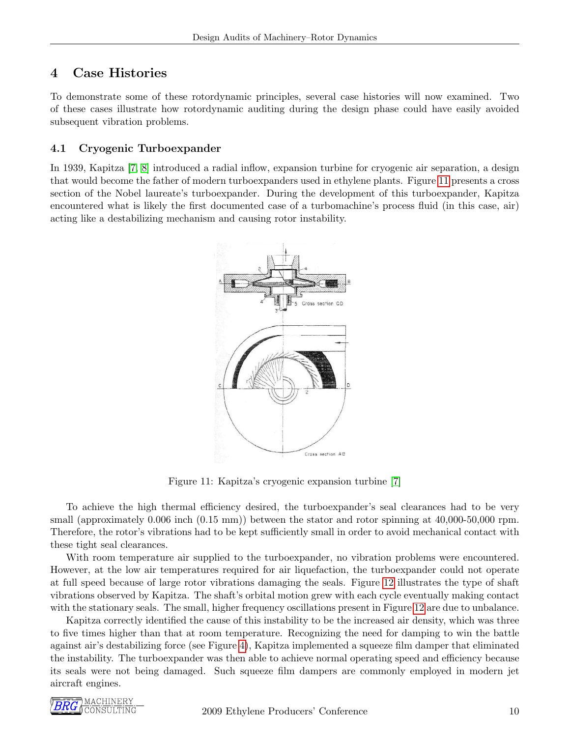# 4 Case Histories

To demonstrate some of these rotordynamic principles, several case histories will now examined. Two of these cases illustrate how rotordynamic auditing during the design phase could have easily avoided subsequent vibration problems.

### 4.1 Cryogenic Turboexpander

<span id="page-10-0"></span>In 1939, Kapitza [\[7,](#page-14-7) [8\]](#page-14-8) introduced a radial inflow, expansion turbine for cryogenic air separation, a design that would become the father of modern turboexpanders used in ethylene plants. Figure [11](#page-10-0) presents a cross section of the Nobel laureate's turboexpander. During the development of this turboexpander, Kapitza encountered what is likely the first documented case of a turbomachine's process fluid (in this case, air) acting like a destabilizing mechanism and causing rotor instability.



Figure 11: Kapitza's cryogenic expansion turbine [\[7\]](#page-14-7)

To achieve the high thermal efficiency desired, the turboexpander's seal clearances had to be very small (approximately 0.006 inch  $(0.15 \text{ mm})$ ) between the stator and rotor spinning at 40,000-50,000 rpm. Therefore, the rotor's vibrations had to be kept sufficiently small in order to avoid mechanical contact with these tight seal clearances.

With room temperature air supplied to the turboexpander, no vibration problems were encountered. However, at the low air temperatures required for air liquefaction, the turboexpander could not operate at full speed because of large rotor vibrations damaging the seals. Figure [12](#page-11-0) illustrates the type of shaft vibrations observed by Kapitza. The shaft's orbital motion grew with each cycle eventually making contact with the stationary seals. The small, higher frequency oscillations present in Figure [12](#page-11-0) are due to unbalance.

Kapitza correctly identified the cause of this instability to be the increased air density, which was three to five times higher than that at room temperature. Recognizing the need for damping to win the battle against air's destabilizing force (see Figure [4\)](#page-4-0), Kapitza implemented a squeeze film damper that eliminated the instability. The turboexpander was then able to achieve normal operating speed and efficiency because its seals were not being damaged. Such squeeze film dampers are commonly employed in modern jet aircraft engines.

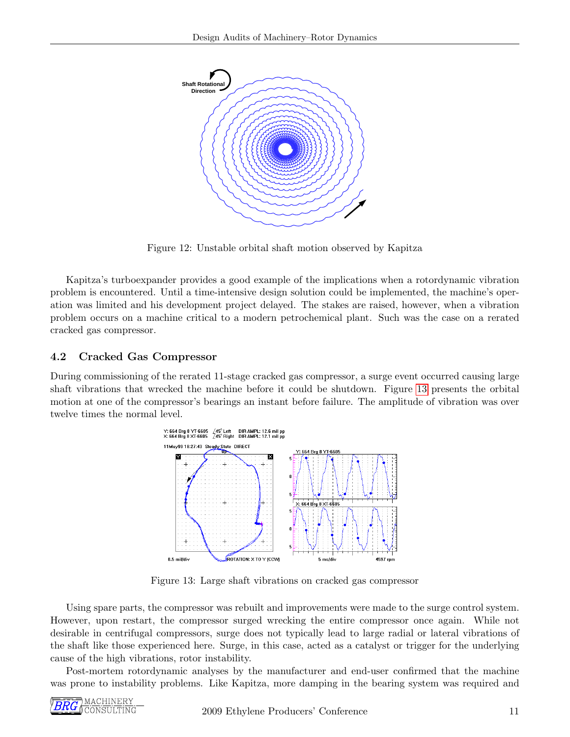<span id="page-11-0"></span>

Figure 12: Unstable orbital shaft motion observed by Kapitza

Kapitza's turboexpander provides a good example of the implications when a rotordynamic vibration problem is encountered. Until a time-intensive design solution could be implemented, the machine's operation was limited and his development project delayed. The stakes are raised, however, when a vibration problem occurs on a machine critical to a modern petrochemical plant. Such was the case on a rerated cracked gas compressor.

#### 4.2 Cracked Gas Compressor

<span id="page-11-1"></span>During commissioning of the rerated 11-stage cracked gas compressor, a surge event occurred causing large shaft vibrations that wrecked the machine before it could be shutdown. Figure [13](#page-11-1) presents the orbital motion at one of the compressor's bearings an instant before failure. The amplitude of vibration was over twelve times the normal level.



Figure 13: Large shaft vibrations on cracked gas compressor

Using spare parts, the compressor was rebuilt and improvements were made to the surge control system. However, upon restart, the compressor surged wrecking the entire compressor once again. While not desirable in centrifugal compressors, surge does not typically lead to large radial or lateral vibrations of the shaft like those experienced here. Surge, in this case, acted as a catalyst or trigger for the underlying cause of the high vibrations, rotor instability.

Post-mortem rotordynamic analyses by the manufacturer and end-user confirmed that the machine was prone to instability problems. Like Kapitza, more damping in the bearing system was required and

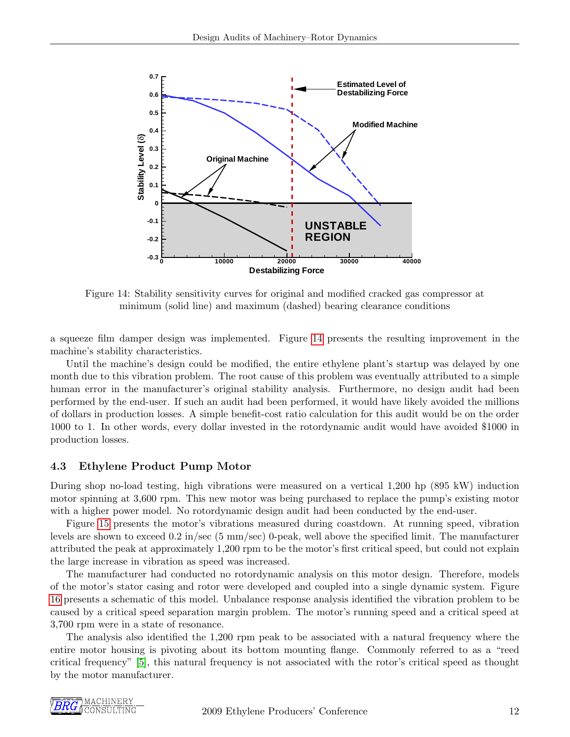<span id="page-12-0"></span>

Figure 14: Stability sensitivity curves for original and modified cracked gas compressor at minimum (solid line) and maximum (dashed) bearing clearance conditions

a squeeze film damper design was implemented. Figure [14](#page-12-0) presents the resulting improvement in the machine's stability characteristics.

Until the machine's design could be modified, the entire ethylene plant's startup was delayed by one month due to this vibration problem. The root cause of this problem was eventually attributed to a simple human error in the manufacturer's original stability analysis. Furthermore, no design audit had been performed by the end-user. If such an audit had been performed, it would have likely avoided the millions of dollars in production losses. A simple benefit-cost ratio calculation for this audit would be on the order 1000 to 1. In other words, every dollar invested in the rotordynamic audit would have avoided \$1000 in production losses.

#### 4.3 Ethylene Product Pump Motor

During shop no-load testing, high vibrations were measured on a vertical 1,200 hp (895 kW) induction motor spinning at 3,600 rpm. This new motor was being purchased to replace the pump's existing motor with a higher power model. No rotordynamic design audit had been conducted by the end-user.

Figure [15](#page-13-0) presents the motor's vibrations measured during coastdown. At running speed, vibration levels are shown to exceed 0.2 in/sec (5 mm/sec) 0-peak, well above the specified limit. The manufacturer attributed the peak at approximately 1,200 rpm to be the motor's first critical speed, but could not explain the large increase in vibration as speed was increased.

The manufacturer had conducted no rotordynamic analysis on this motor design. Therefore, models of the motor's stator casing and rotor were developed and coupled into a single dynamic system. Figure [16](#page-13-1) presents a schematic of this model. Unbalance response analysis identified the vibration problem to be caused by a critical speed separation margin problem. The motor's running speed and a critical speed at 3,700 rpm were in a state of resonance.

The analysis also identified the 1,200 rpm peak to be associated with a natural frequency where the entire motor housing is pivoting about its bottom mounting flange. Commonly referred to as a "reed critical frequency" [\[5\]](#page-14-9), this natural frequency is not associated with the rotor's critical speed as thought by the motor manufacturer.

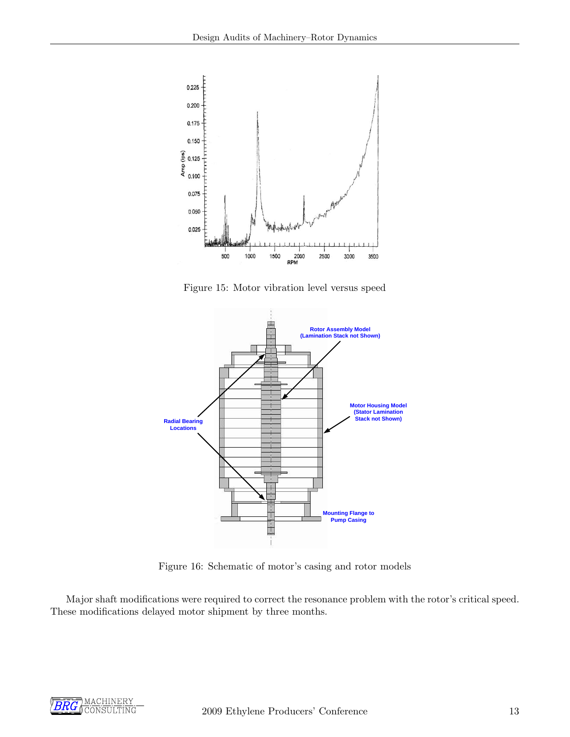<span id="page-13-0"></span>

Figure 15: Motor vibration level versus speed

<span id="page-13-1"></span>

Figure 16: Schematic of motor's casing and rotor models

Major shaft modifications were required to correct the resonance problem with the rotor's critical speed. These modifications delayed motor shipment by three months.